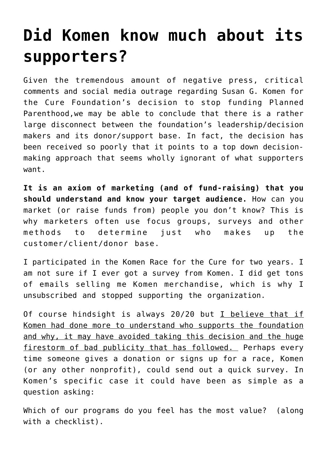## **[Did Komen know much about its](https://deborahbrody.com/2012/02/did-komen-know-much-about-its-supporters/) [supporters?](https://deborahbrody.com/2012/02/did-komen-know-much-about-its-supporters/)**

Given the tremendous amount of negative press, critical comments and social media outrage regarding Susan G. Komen for the Cure Foundation's decision to stop funding Planned Parenthood,we may be able to conclude that there is a rather large disconnect between the foundation's leadership/decision makers and its donor/support base. In fact, the decision has been received so poorly that it points to a top down decisionmaking approach that seems wholly ignorant of what supporters want.

**It is an axiom of marketing (and of fund-raising) that you should understand and know your target audience.** How can you market (or raise funds from) people you don't know? This is why marketers often use focus groups, surveys and other methods to determine just who makes up the customer/client/donor base.

I participated in the Komen Race for the Cure for two years. I am not sure if I ever got a survey from Komen. I did get tons of emails selling me Komen merchandise, which is why I unsubscribed and stopped supporting the organization.

Of course hindsight is always 20/20 but I believe that if Komen had done more to understand who supports the foundation and why, it may have avoided taking this decision and the huge firestorm of bad publicity that has followed. Perhaps every time someone gives a donation or signs up for a race, Komen (or any other nonprofit), could send out a quick survey. In Komen's specific case it could have been as simple as a question asking:

Which of our programs do you feel has the most value? (along with a checklist).